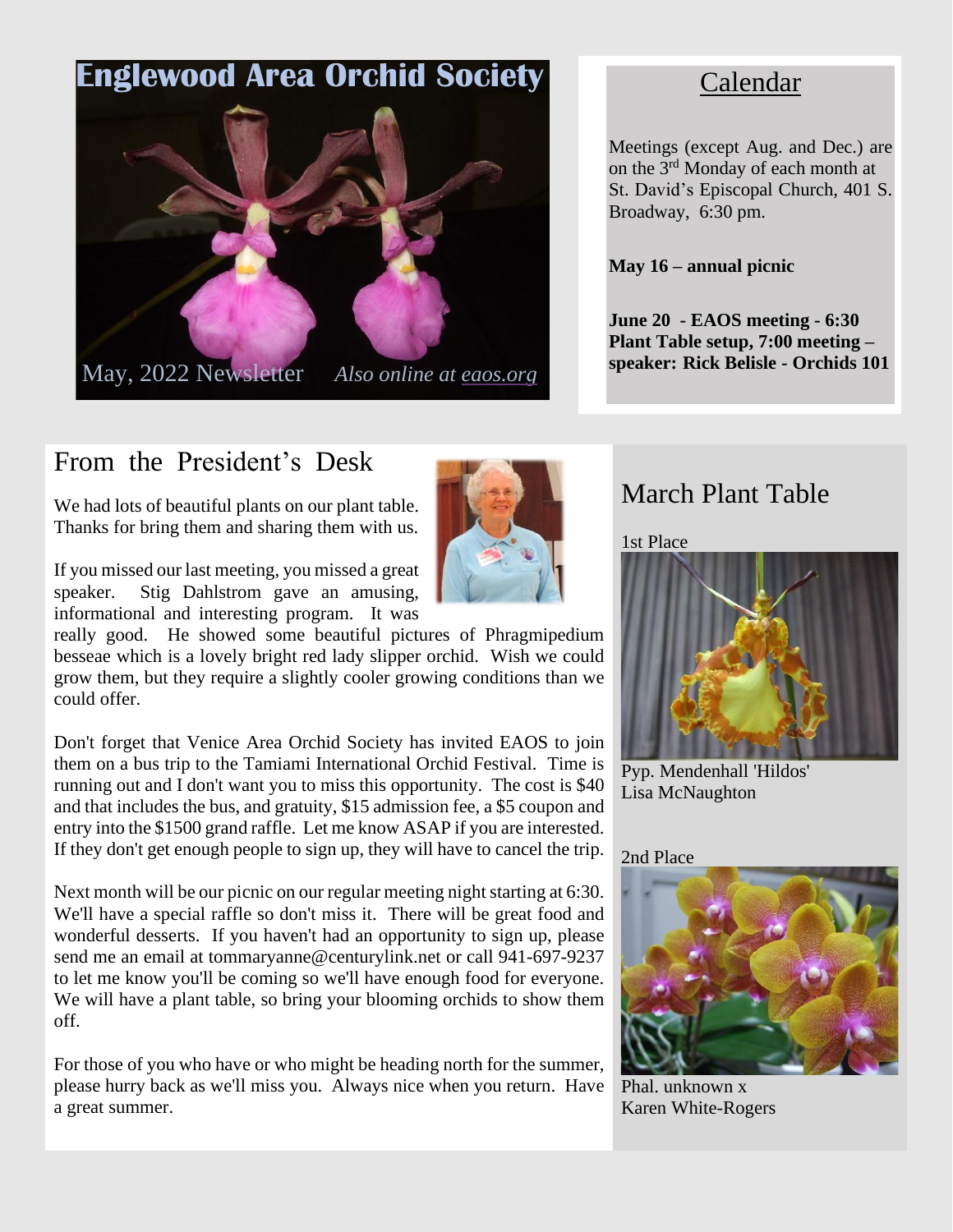# **Englewood Area Orchid Society** May, 2022 Newsletter *Also online at eaos.org*

# Calendar

Meetings (except Aug. and Dec.) are on the 3<sup>rd</sup> Monday of each month at St. David's Episcopal Church, 401 S. Broadway, 6:30 pm.

**May 16 – annual picnic**

**June 20 - EAOS meeting - 6:30 Plant Table setup, 7:00 meeting – speaker: Rick Belisle - Orchids 101**

# From the President's Desk

We had lots of beautiful plants on our plant table. Thanks for bring them and sharing them with us.

If you missed our last meeting, you missed a great speaker. Stig Dahlstrom gave an amusing, informational and interesting program. It was

really good. He showed some beautiful pictures of Phragmipedium besseae which is a lovely bright red lady slipper orchid. Wish we could grow them, but they require a slightly cooler growing conditions than we could offer.

Don't forget that Venice Area Orchid Society has invited EAOS to join them on a bus trip to the Tamiami International Orchid Festival. Time is running out and I don't want you to miss this opportunity. The cost is \$40 and that includes the bus, and gratuity, \$15 admission fee, a \$5 coupon and entry into the \$1500 grand raffle. Let me know ASAP if you are interested. If they don't get enough people to sign up, they will have to cancel the trip.

Next month will be our picnic on our regular meeting night starting at 6:30. We'll have a special raffle so don't miss it. There will be great food and wonderful desserts. If you haven't had an opportunity to sign up, please send me an email at tommaryanne@centurylink.net or call 941-697-9237 to let me know you'll be coming so we'll have enough food for everyone. We will have a plant table, so bring your blooming orchids to show them off.

For those of you who have or who might be heading north for the summer, please hurry back as we'll miss you. Always nice when you return. Have a great summer.



# March Plant Table

1st Place



Pyp. Mendenhall 'Hildos' Lisa McNaughton

#### 2nd Place



Phal. unknown x Karen White-Rogers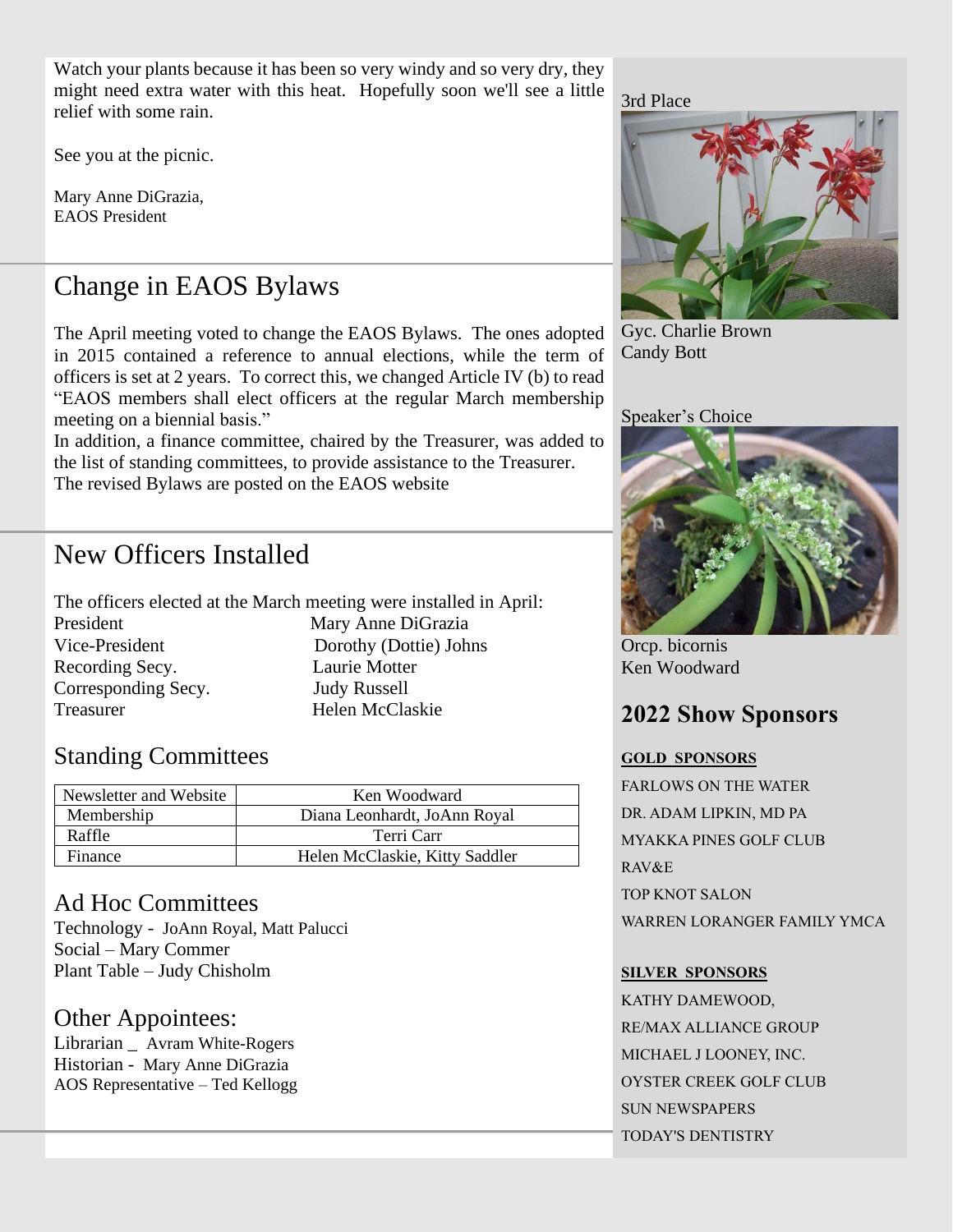Watch your plants because it has been so very windy and so very dry, they might need extra water with this heat. Hopefully soon we'll see a little relief with some rain.

See you at the picnic.

Mary Anne DiGrazia, EAOS President

# Change in EAOS Bylaws

The April meeting voted to change the EAOS Bylaws. The ones adopted in 2015 contained a reference to annual elections, while the term of officers is set at 2 years. To correct this, we changed Article IV (b) to read "EAOS members shall elect officers at the regular March membership meeting on a biennial basis."

In addition, a finance committee, chaired by the Treasurer, was added to the list of standing committees, to provide assistance to the Treasurer. The revised Bylaws are posted on the EAOS website

# New Officers Installed

The officers elected at the March meeting were installed in April: President Mary Anne DiGrazia Vice-President Dorothy (Dottie) Johns Recording Secy. Laurie Motter Corresponding Secy. Judy Russell Treasurer Helen McClaskie

## Standing Committees

| Newsletter and Website | Ken Woodward                   |  |
|------------------------|--------------------------------|--|
| Membership             | Diana Leonhardt, JoAnn Royal   |  |
| Raffle                 | Terri Carr                     |  |
| Finance                | Helen McClaskie, Kitty Saddler |  |

## Ad Hoc Committees

Technology - JoAnn Royal, Matt Palucci Social – Mary Commer Plant Table – Judy Chisholm

## Other Appointees:

Librarian \_ Avram White-Rogers Historian - Mary Anne DiGrazia AOS Representative – Ted Kellogg 3rd Place



Gyc. Charlie Brown Candy Bott

Speaker's Choice



Orcp. bicornis Ken Woodward

## **2022 Show Sponsors**

#### **GOLD SPONSORS**

FARLOWS ON THE WATER DR. ADAM LIPKIN, MD PA MYAKKA PINES GOLF CLUB RAV&E TOP KNOT SALON WARREN LORANGER FAMILY YMCA

#### **SILVER SPONSORS**

KATHY DAMEWOOD, RE/MAX ALLIANCE GROUP MICHAEL J LOONEY, INC. OYSTER CREEK GOLF CLUB SUN NEWSPAPERS TODAY'S DENTISTRY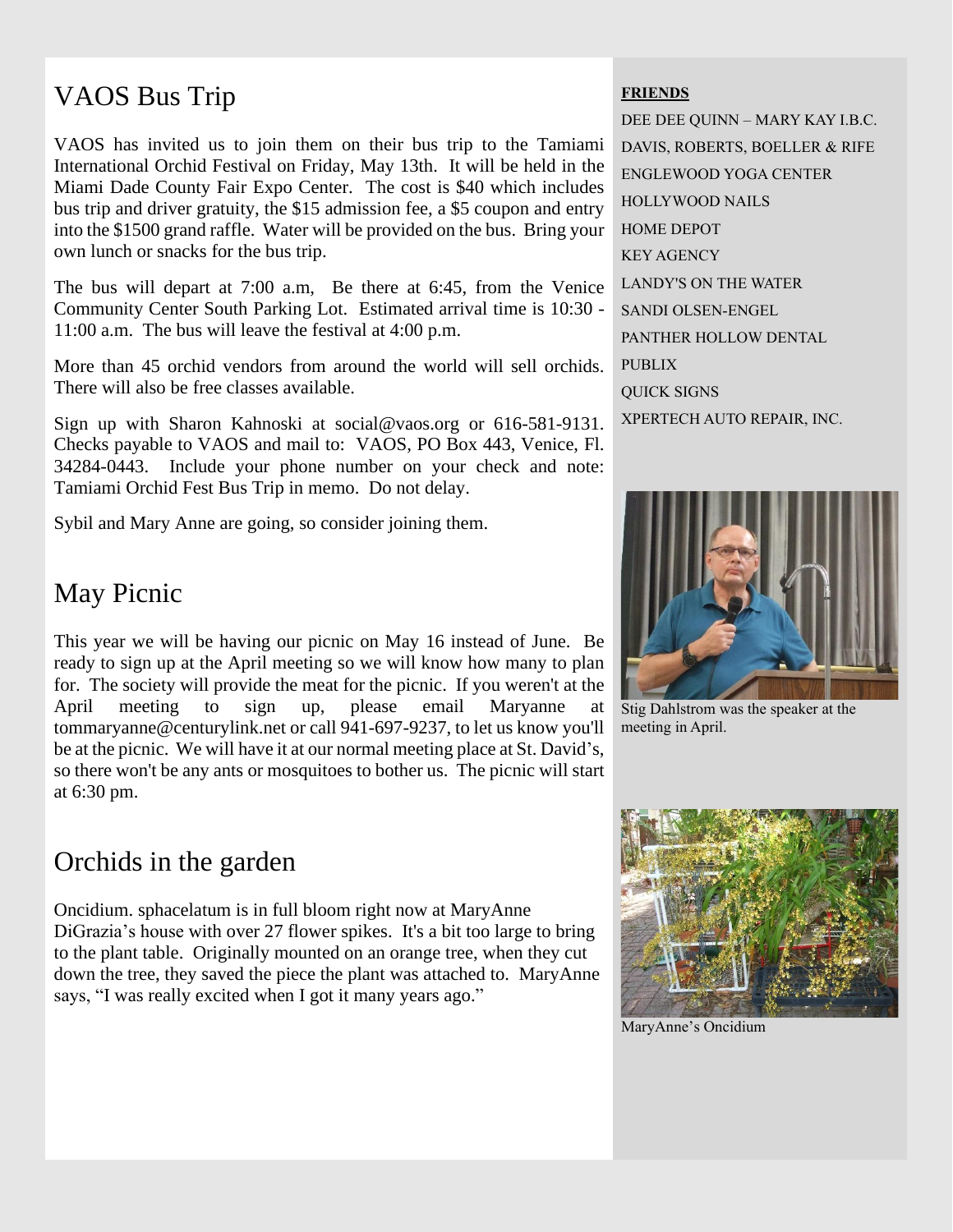# VAOS Bus Trip

VAOS has invited us to join them on their bus trip to the Tamiami International Orchid Festival on Friday, May 13th. It will be held in the Miami Dade County Fair Expo Center. The cost is \$40 which includes bus trip and driver gratuity, the \$15 admission fee, a \$5 coupon and entry into the \$1500 grand raffle. Water will be provided on the bus. Bring your own lunch or snacks for the bus trip.

The bus will depart at 7:00 a.m, Be there at 6:45, from the Venice Community Center South Parking Lot. Estimated arrival time is 10:30 - 11:00 a.m. The bus will leave the festival at 4:00 p.m.

More than 45 orchid vendors from around the world will sell orchids. There will also be free classes available.

Sign up with Sharon Kahnoski at social@vaos.org or 616-581-9131. Checks payable to VAOS and mail to: VAOS, PO Box 443, Venice, Fl. 34284-0443. Include your phone number on your check and note: Tamiami Orchid Fest Bus Trip in memo. Do not delay.

Sybil and Mary Anne are going, so consider joining them.

# May Picnic

This year we will be having our picnic on May 16 instead of June. Be ready to sign up at the April meeting so we will know how many to plan for. The society will provide the meat for the picnic. If you weren't at the April meeting to sign up, please email Maryanne tommaryanne@centurylink.net or call 941-697-9237, to let us know you'll be at the picnic. We will have it at our normal meeting place at St. David's, so there won't be any ants or mosquitoes to bother us. The picnic will start at 6:30 pm.

## Orchids in the garden

Oncidium. sphacelatum is in full bloom right now at MaryAnne DiGrazia's house with over 27 flower spikes. It's a bit too large to bring to the plant table. Originally mounted on an orange tree, when they cut down the tree, they saved the piece the plant was attached to. MaryAnne says, "I was really excited when I got it many years ago."

#### **FRIENDS**

DEE DEE QUINN – MARY KAY I.B.C. DAVIS, ROBERTS, BOELLER & RIFE ENGLEWOOD YOGA CENTER HOLLYWOOD NAILS HOME DEPOT KEY AGENCY LANDY'S ON THE WATER SANDI OLSEN-ENGEL PANTHER HOLLOW DENTAL PUBLIX QUICK SIGNS XPERTECH AUTO REPAIR, INC.



Stig Dahlstrom was the speaker at the meeting in April.



MaryAnne's Oncidium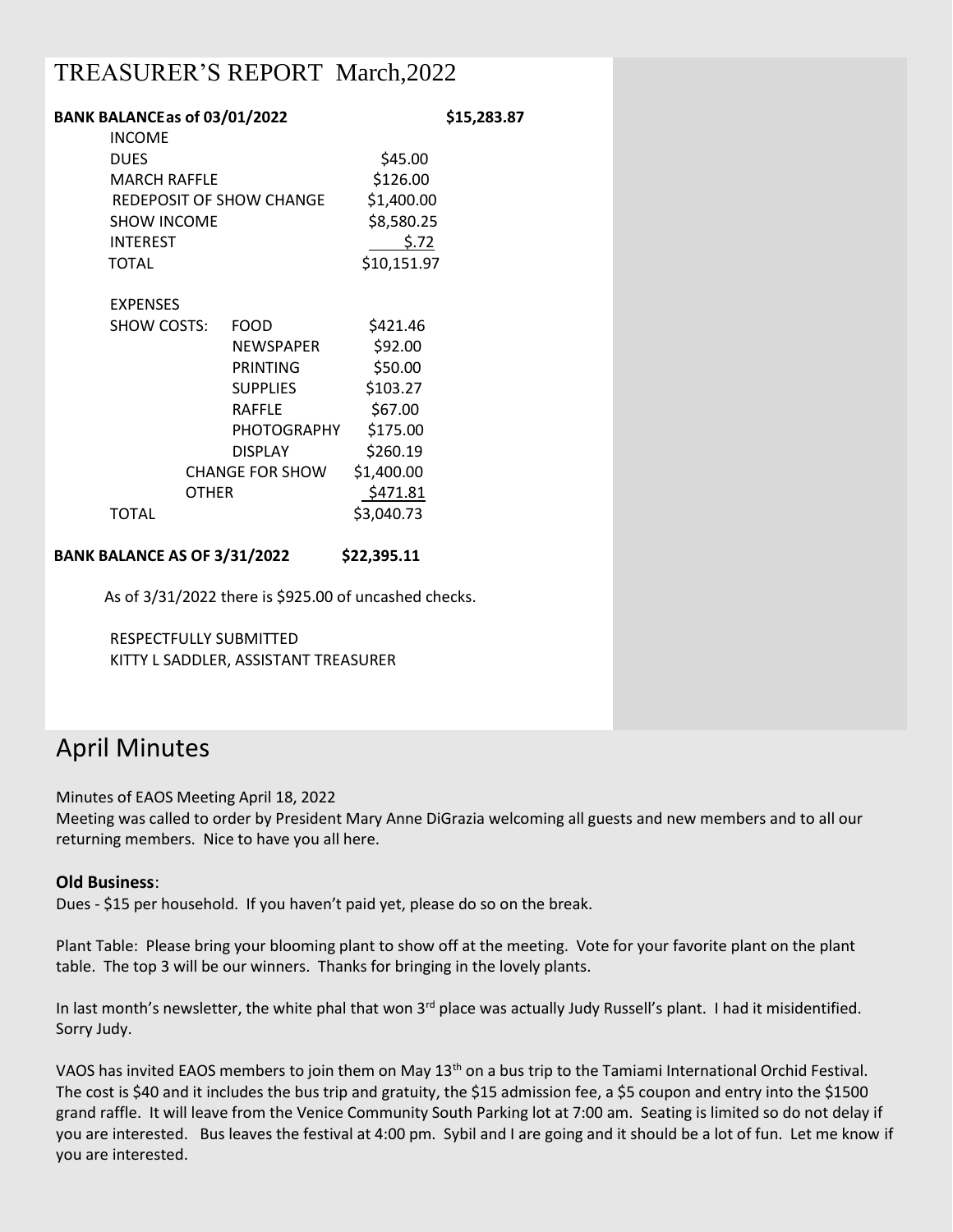## TREASURER'S REPORT March,2022

| <b>BANK BALANCEas of 03/01/2022</b> |                        |             | \$15,283.87 |
|-------------------------------------|------------------------|-------------|-------------|
| <b>INCOME</b>                       |                        |             |             |
| <b>DUES</b>                         |                        | \$45.00     |             |
| <b>MARCH RAFFLE</b>                 | \$126.00               |             |             |
| REDEPOSIT OF SHOW CHANGE            | \$1,400.00             |             |             |
| <b>SHOW INCOME</b>                  | \$8,580.25             |             |             |
| <b>INTEREST</b>                     |                        | \$.72       |             |
| <b>TOTAL</b>                        |                        | \$10,151.97 |             |
| <b>EXPENSES</b>                     |                        |             |             |
| SHOW COSTS:                         | <b>FOOD</b>            | \$421.46    |             |
|                                     | NEWSPAPER              | \$92.00     |             |
|                                     | PRINTING               | \$50.00     |             |
|                                     | <b>SUPPLIES</b>        | \$103.27    |             |
|                                     | <b>RAFFLE</b>          | \$67.00     |             |
|                                     | PHOTOGRAPHY            | \$175.00    |             |
|                                     | <b>DISPLAY</b>         | \$260.19    |             |
|                                     | <b>CHANGE FOR SHOW</b> | \$1,400.00  |             |
| <b>OTHER</b>                        |                        | \$471.81    |             |
| <b>TOTAL</b>                        |                        | \$3,040.73  |             |
| <b>BANK BALANCE AS OF 3/31/2022</b> |                        | \$22,395.11 |             |

As of 3/31/2022 there is \$925.00 of uncashed checks.

RESPECTFULLY SUBMITTED KITTY L SADDLER, ASSISTANT TREASURER

## April Minutes

Minutes of EAOS Meeting April 18, 2022

Meeting was called to order by President Mary Anne DiGrazia welcoming all guests and new members and to all our returning members. Nice to have you all here.

#### **Old Business**:

Dues - \$15 per household. If you haven't paid yet, please do so on the break.

Plant Table: Please bring your blooming plant to show off at the meeting. Vote for your favorite plant on the plant table. The top 3 will be our winners. Thanks for bringing in the lovely plants.

In last month's newsletter, the white phal that won 3<sup>rd</sup> place was actually Judy Russell's plant. I had it misidentified. Sorry Judy.

VAOS has invited EAOS members to join them on May 13<sup>th</sup> on a bus trip to the Tamiami International Orchid Festival. The cost is \$40 and it includes the bus trip and gratuity, the \$15 admission fee, a \$5 coupon and entry into the \$1500 grand raffle. It will leave from the Venice Community South Parking lot at 7:00 am. Seating is limited so do not delay if you are interested. Bus leaves the festival at 4:00 pm. Sybil and I are going and it should be a lot of fun. Let me know if you are interested.